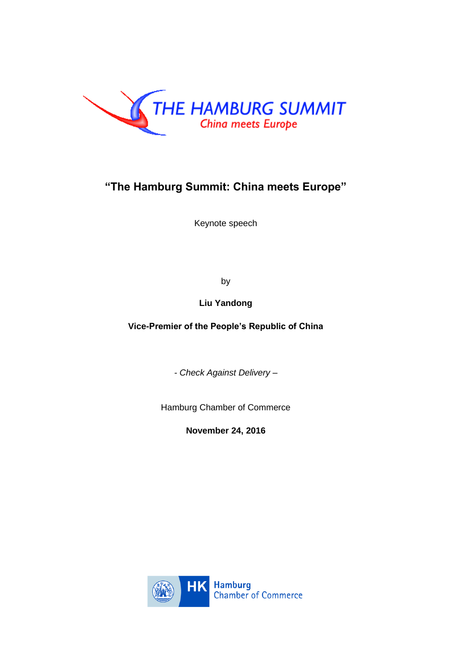

# **"The Hamburg Summit: China meets Europe"**

Keynote speech

by

**Liu Yandong**

**Vice-Premier of the People's Republic of China**

*- Check Against Delivery –*

Hamburg Chamber of Commerce

**November 24, 2016**

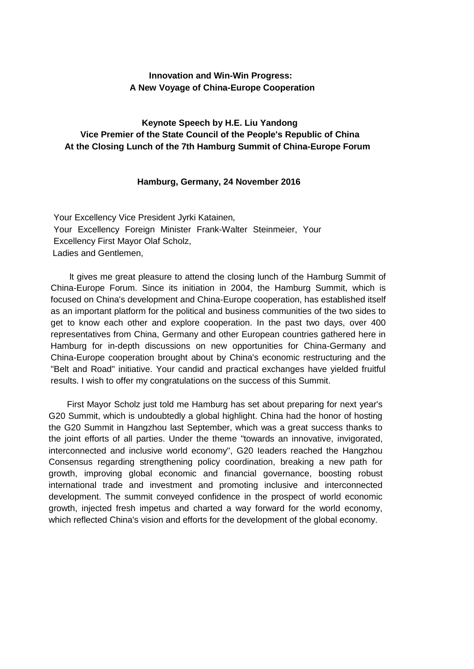# **Innovation and Win-Win Progress: A New Voyage of China-Europe Cooperation**

# **Keynote Speech by H.E. Liu Yandong Vice Premier of the State Council of the People's Republic of China At the Closing Lunch of the 7th Hamburg Summit of China-Europe Forum**

#### **Hamburg, Germany, 24 November 2016**

Your Excellency Vice President Jyrki Katainen, Your Excellency Foreign Minister Frank-Walter Steinmeier, Your Excellency First Mayor Olaf Scholz, Ladies and Gentlemen,

lt gives me great pleasure to attend the closing lunch of the Hamburg Summit of China-Europe Forum. Since its initiation in 2004, the Hamburg Summit, which is focused on China's development and China-Europe cooperation, has established itself as an important platform for the political and business communities of the two sides to get to know each other and explore cooperation. In the past two days, over 400 representatives from China, Germany and other European countries gathered here in Hamburg for in-depth discussions on new opportunities for China-Germany and China-Europe cooperation brought about by China's economic restructuring and the "Belt and Road" initiative. Your candid and practical exchanges have yielded fruitful results. I wish to offer my congratulations on the success of this Summit.

First Mayor Scholz just told me Hamburg has set about preparing for next year's G20 Summit, which is undoubtedly a global highlight. China had the honor of hosting the G20 Summit in Hangzhou last September, which was a great success thanks to the joint efforts of all parties. Under the theme "towards an innovative, invigorated, interconnected and inclusive world economy", G20 Ieaders reached the Hangzhou Consensus regarding strengthening policy coordination, breaking a new path for growth, improving global economic and financial governance, boosting robust international trade and investment and promoting inclusive and interconnected development. The summit conveyed confidence in the prospect of world economic growth, injected fresh impetus and charted a way forward for the world economy, which reflected China's vision and efforts for the development of the global economy.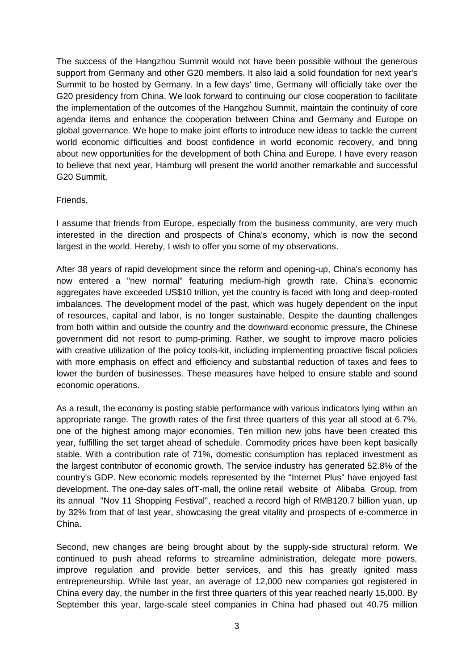The success of the Hangzhou Summit would not have been possible without the generous support from Germany and other G20 members. It also laid a solid foundation for next year's Summit to be hosted by Germany. In a few days' time, Germany will officially take over the G20 presidency from China. We look forward to continuing our close cooperation to facilitate the implementation of the outcomes of the Hangzhou Summit, maintain the continuity of core agenda items and enhance the cooperation between China and Germany and Europe on global governance. We hope to make joint efforts to introduce new ideas to tackle the current world economic difficulties and boost confidence in world economic recovery, and bring about new opportunities for the development of both China and Europe. I have every reason to believe that next year, Hamburg will present the world another remarkable and successful G20 Summit.

# Friends,

I assume that friends from Europe, especially from the business community, are very much interested in the direction and prospects of China's economy, which is now the second largest in the world. Hereby, I wish to offer you some of my observations.

After 38 years of rapid development since the reform and opening-up, China's economy has now entered a "new normal" featuring medium-high growth rate. China's economic aggregates have exceeded US\$10 trillion, yet the country is faced with long and deep-rooted imbalances. The development model of the past, which was hugely dependent on the input of resources, capital and labor, is no Ionger sustainable. Despite the daunting challenges from both within and outside the country and the downward economic pressure, the Chinese government did not resort to pump-priming. Rather, we sought to improve macro policies with creative utilization of the policy tools-kit, including implementing proactive fiscal policies with more emphasis on effect and efficiency and substantial reduction of taxes and fees to lower the burden of businesses. These measures have helped to ensure stable and sound economic operations.

As a result, the economy is posting stable performance with various indicators lying within an appropriate range. The growth rates of the first three quarters of this year all stood at 6.7%, one of the highest among major economies. Ten million new jobs have been created this year, fulfilling the set target ahead of schedule. Commodity prices have been kept basically stable. With a contribution rate of 71%, domestic consumption has replaced investment as the largest contributor of economic growth. The service industry has generated 52.8% of the country's GDP. New economic models represented by the "Internet Plus" have enjoyed fast development. The one-day sales ofT-mall, the online retail website of Alibaba Group, from its annual "Nov 11 Shopping Festival", reached a record high of RMB120.7 billion yuan, up by 32% from that of last year, showcasing the great vitality and prospects of e-commerce in China.

Second, new changes are being brought about by the supply-side structural reform. We continued to push ahead reforms to streamline administration, delegate more powers, improve regulation and provide better services, and this has greatly ignited mass entrepreneurship. While last year, an average of 12,000 new companies got registered in China every day, the number in the first three quarters of this year reached nearly 15,000. By September this year, large-scale steel companies in China had phased out 40.75 million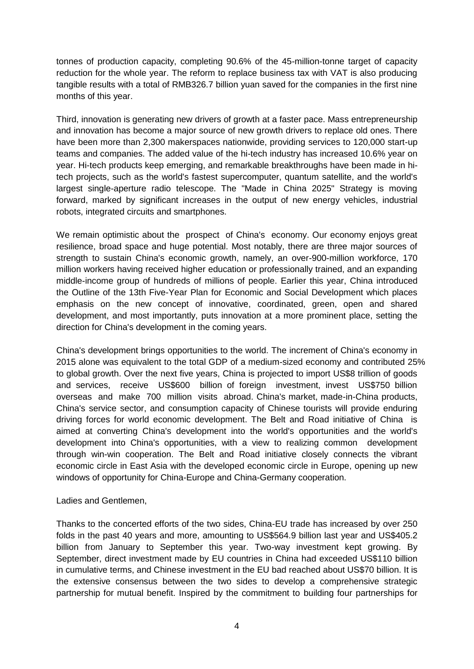tonnes of production capacity, completing 90.6% of the 45-million-tonne target of capacity reduction for the whole year. The reform to replace business tax with VAT is also producing tangible results with a total of RMB326.7 billion yuan saved for the companies in the first nine months of this year.

Third, innovation is generating new drivers of growth at a faster pace. Mass entrepreneurship and innovation has become a major source of new growth drivers to replace old ones. There have been more than 2,300 makerspaces nationwide, providing services to 120,000 start-up teams and companies. The added value of the hi-tech industry has increased 10.6% year on year. Hi-tech products keep emerging, and remarkable breakthroughs have been made in hitech projects, such as the world's fastest supercomputer, quantum satellite, and the world's largest single-aperture radio telescope. The "Made in China 2025" Strategy is moving forward, marked by significant increases in the output of new energy vehicles, industrial robots, integrated circuits and smartphones.

We remain optimistic about the prospect of China's economy. Our economy enjoys great resilience, broad space and huge potential. Most notably, there are three major sources of strength to sustain China's economic growth, namely, an over-900-million workforce, 170 million workers having received higher education or professionally trained, and an expanding middle-income group of hundreds of millions of people. Earlier this year, China introduced the Outline of the 13th Five-Year Plan for Economic and Social Development which places emphasis on the new concept of innovative, coordinated, green, open and shared development, and most importantly, puts innovation at a more prominent place, setting the direction for China's development in the coming years.

China's development brings opportunities to the world. The increment of China's economy in 2015 alone was equivalent to the total GDP of a medium-sized economy and contributed 25% to global growth. Over the next five years, China is projected to import US\$8 trillion of goods and services, receive US\$600 billion of foreign investment, invest US\$750 billion overseas and make 700 million visits abroad. China's market, made-in-China products, China's service sector, and consumption capacity of Chinese tourists will provide enduring driving forces for world economic development. The Belt and Road initiative of China is aimed at converting China's development into the world's opportunities and the world's development into China's opportunities, with a view to realizing common development through win-win cooperation. The Belt and Road initiative closely connects the vibrant economic circle in East Asia with the developed economic circle in Europe, opening up new windows of opportunity for China-Europe and China-Germany cooperation.

# Ladies and Gentlemen,

Thanks to the concerted efforts of the two sides, China-EU trade has increased by over 250 folds in the past 40 years and more, amounting to US\$564.9 billion last year and US\$405.2 billion from January to September this year. Two-way investment kept growing. By September, direct investment made by EU countries in China had exceeded US\$110 billion in cumulative terms, and Chinese investment in the EU bad reached about US\$70 billion. It is the extensive consensus between the two sides to develop a comprehensive strategic partnership for mutual benefit. Inspired by the commitment to building four partnerships for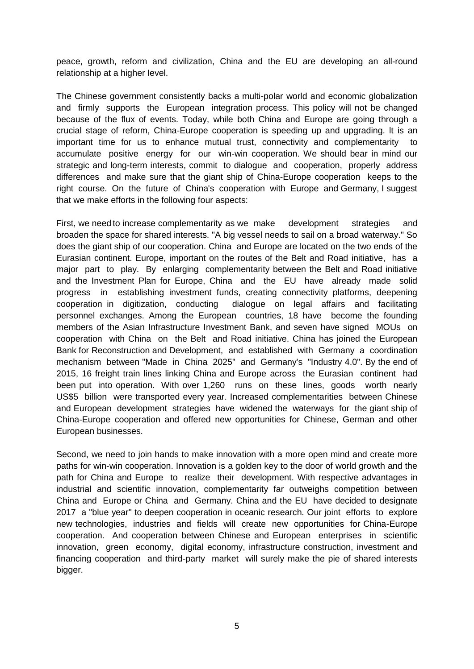peace, growth, reform and civilization, China and the EU are developing an all-round relationship at a higher Ievel.

The Chinese government consistently backs a multi-polar world and economic globalization and firmly supports the European integration process. This policy will not be changed because of the flux of events. Today, while both China and Europe are going through a crucial stage of reform, China-Europe cooperation is speeding up and upgrading. lt is an important time for us to enhance mutual trust, connectivity and complementarity to accumulate positive energy for our win-win cooperation. We should bear in mind our strategic and long-term interests, commit to dialogue and cooperation, properly address differences and make sure that the giant ship of China-Europe cooperation keeps to the right course. On the future of China's cooperation with Europe and Germany, I suggest that we make efforts in the following four aspects:

First, we need to increase complementarity as we make development strategies and broaden the space for shared interests. "A big vessel needs to sail on a broad waterway." So does the giant ship of our cooperation. China and Europe are located on the two ends of the Eurasian continent. Europe, important on the routes of the Belt and Road initiative, has a major part to play. By enlarging complementarity between the Belt and Road initiative and the Investment Plan for Europe, China and the EU have already made solid progress in establishing investment funds, creating connectivity platforms, deepening cooperation in digitization, conducting dialogue on legal affairs and facilitating personnel exchanges. Among the European countries, 18 have become the founding members of the Asian Infrastructure Investment Bank, and seven have signed MOUs on cooperation with China on the Belt and Road initiative. China has joined the European Bank for Reconstruction and Development, and established with Germany a coordination mechanism between "Made in China 2025" and Germany's "Industry 4.0". By the end of 2015, 16 freight train lines linking China and Europe across the Eurasian continent had been put into operation. With over 1,260 runs on these Iines, goods worth nearly US\$5 billion were transported every year. Increased complementarities between Chinese and European development strategies have widened the waterways for the giant ship of China-Europe cooperation and offered new opportunities for Chinese, German and other European businesses.

Second, we need to join hands to make innovation with a more open mind and create more paths for win-win cooperation. Innovation is a golden key to the door of world growth and the path for China and Europe to realize their development. With respective advantages in industrial and scientific innovation, complementarity far outweighs competition between China and Europe or China and Germany. China and the EU have decided to designate 2017 a "blue year" to deepen cooperation in oceanic research. Our joint efforts to explore new technologies, industries and fields will create new opportunities for China-Europe cooperation. And cooperation between Chinese and European enterprises in scientific innovation, green economy, digital economy, infrastructure construction, investment and financing cooperation and third-party market will surely make the pie of shared interests bigger.